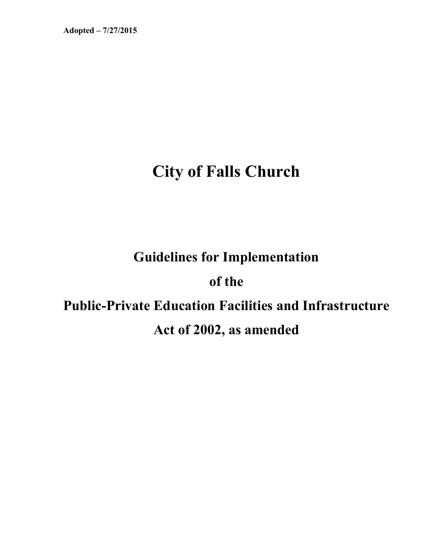# **City of Falls Church**

# **Guidelines for Implementation**

# **of the**

# **Public-Private Education Facilities and Infrastructure Act of 2002, as amended**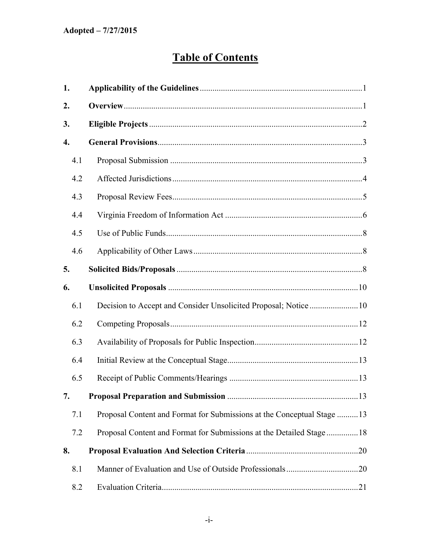# **Table of Contents**

| 1.  |                                                                        |  |
|-----|------------------------------------------------------------------------|--|
| 2.  |                                                                        |  |
| 3.  |                                                                        |  |
| 4.  |                                                                        |  |
| 4.1 |                                                                        |  |
| 4.2 |                                                                        |  |
| 4.3 |                                                                        |  |
| 4.4 |                                                                        |  |
| 4.5 |                                                                        |  |
| 4.6 |                                                                        |  |
| 5.  |                                                                        |  |
| 6.  |                                                                        |  |
| 6.1 |                                                                        |  |
| 6.2 |                                                                        |  |
| 6.3 |                                                                        |  |
| 6.4 |                                                                        |  |
| 6.5 |                                                                        |  |
| 7.  |                                                                        |  |
| 7.1 | Proposal Content and Format for Submissions at the Conceptual Stage 13 |  |
| 7.2 | Proposal Content and Format for Submissions at the Detailed Stage 18   |  |
| 8.  |                                                                        |  |
| 8.1 |                                                                        |  |
| 8.2 |                                                                        |  |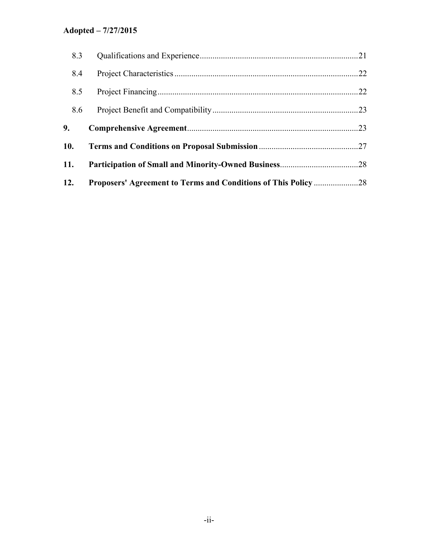| 12. |  |  |
|-----|--|--|
| 11. |  |  |
| 10. |  |  |
| 9.  |  |  |
| 8.6 |  |  |
| 8.5 |  |  |
| 8.4 |  |  |
| 8.3 |  |  |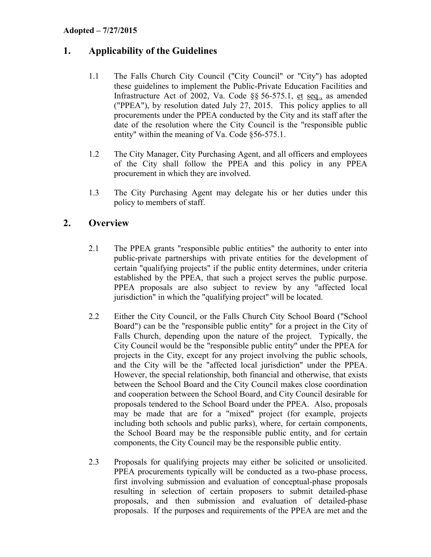# <span id="page-3-0"></span>**1. Applicability of the Guidelines**

- 1.1 The Falls Church City Council ("City Council" or "City") has adopted these guidelines to implement the Public-Private Education Facilities and Infrastructure Act of 2002, Va. Code §§ 56-575.1, et seq., as amended ("PPEA"), by resolution dated July 27, 2015. This policy applies to all procurements under the PPEA conducted by the City and its staff after the date of the resolution where the City Council is the "responsible public entity" within the meaning of Va. Code §56-575.1.
- 1.2 The City Manager, City Purchasing Agent, and all officers and employees of the City shall follow the PPEA and this policy in any PPEA procurement in which they are involved.
- 1.3 The City Purchasing Agent may delegate his or her duties under this policy to members of staff.

## <span id="page-3-1"></span>**2. Overview**

- 2.1 The PPEA grants "responsible public entities" the authority to enter into public-private partnerships with private entities for the development of certain "qualifying projects" if the public entity determines, under criteria established by the PPEA, that such a project serves the public purpose. PPEA proposals are also subject to review by any "affected local jurisdiction" in which the "qualifying project" will be located.
- 2.2 Either the City Council, or the Falls Church City School Board ("School Board") can be the "responsible public entity" for a project in the City of Falls Church, depending upon the nature of the project. Typically, the City Council would be the "responsible public entity" under the PPEA for projects in the City, except for any project involving the public schools, and the City will be the "affected local jurisdiction" under the PPEA. However, the special relationship, both financial and otherwise, that exists between the School Board and the City Council makes close coordination and cooperation between the School Board, and City Council desirable for proposals tendered to the School Board under the PPEA. Also, proposals may be made that are for a "mixed" project (for example, projects including both schools and public parks), where, for certain components, the School Board may be the responsible public entity, and for certain components, the City Council may be the responsible public entity.
- 2.3 Proposals for qualifying projects may either be solicited or unsolicited. PPEA procurements typically will be conducted as a two-phase process, first involving submission and evaluation of conceptual-phase proposals resulting in selection of certain proposers to submit detailed-phase proposals, and then submission and evaluation of detailed-phase proposals. If the purposes and requirements of the PPEA are met and the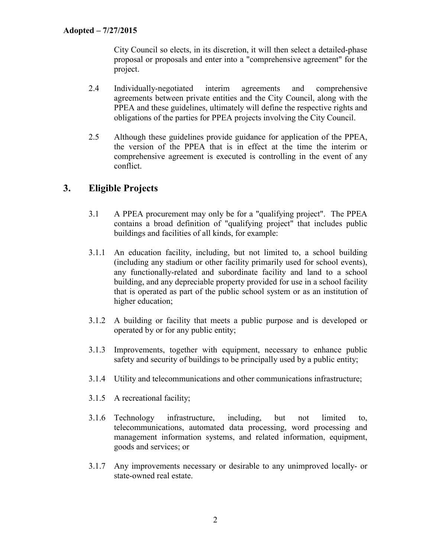City Council so elects, in its discretion, it will then select a detailed-phase proposal or proposals and enter into a "comprehensive agreement" for the project.

- 2.4 Individually-negotiated interim agreements and comprehensive agreements between private entities and the City Council, along with the PPEA and these guidelines, ultimately will define the respective rights and obligations of the parties for PPEA projects involving the City Council.
- 2.5 Although these guidelines provide guidance for application of the PPEA, the version of the PPEA that is in effect at the time the interim or comprehensive agreement is executed is controlling in the event of any conflict.

# <span id="page-4-0"></span>**3. Eligible Projects**

- 3.1 A PPEA procurement may only be for a "qualifying project". The PPEA contains a broad definition of "qualifying project" that includes public buildings and facilities of all kinds, for example:
- 3.1.1 An education facility, including, but not limited to, a school building (including any stadium or other facility primarily used for school events), any functionally-related and subordinate facility and land to a school building, and any depreciable property provided for use in a school facility that is operated as part of the public school system or as an institution of higher education;
- 3.1.2 A building or facility that meets a public purpose and is developed or operated by or for any public entity;
- 3.1.3 Improvements, together with equipment, necessary to enhance public safety and security of buildings to be principally used by a public entity;
- 3.1.4 Utility and telecommunications and other communications infrastructure;
- 3.1.5 A recreational facility;
- 3.1.6 Technology infrastructure, including, but not limited to, telecommunications, automated data processing, word processing and management information systems, and related information, equipment, goods and services; or
- 3.1.7 Any improvements necessary or desirable to any unimproved locally- or state-owned real estate.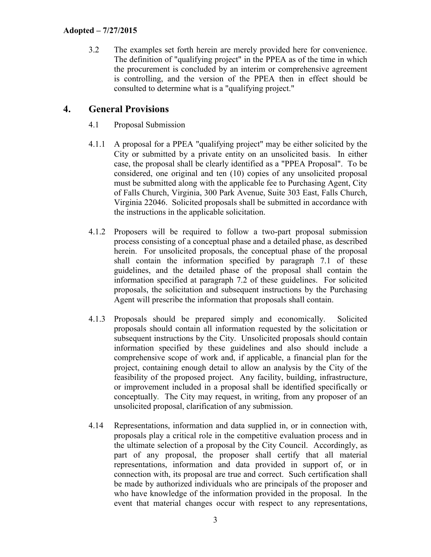3.2 The examples set forth herein are merely provided here for convenience. The definition of "qualifying project" in the PPEA as of the time in which the procurement is concluded by an interim or comprehensive agreement is controlling, and the version of the PPEA then in effect should be consulted to determine what is a "qualifying project."

## <span id="page-5-0"></span>**4. General Provisions**

- <span id="page-5-1"></span>4.1 Proposal Submission
- 4.1.1 A proposal for a PPEA "qualifying project" may be either solicited by the City or submitted by a private entity on an unsolicited basis. In either case, the proposal shall be clearly identified as a "PPEA Proposal". To be considered, one original and ten (10) copies of any unsolicited proposal must be submitted along with the applicable fee to Purchasing Agent, City of Falls Church, Virginia, 300 Park Avenue, Suite 303 East, Falls Church, Virginia 22046. Solicited proposals shall be submitted in accordance with the instructions in the applicable solicitation.
- 4.1.2 Proposers will be required to follow a two-part proposal submission process consisting of a conceptual phase and a detailed phase, as described herein. For unsolicited proposals, the conceptual phase of the proposal shall contain the information specified by paragraph 7.1 of these guidelines, and the detailed phase of the proposal shall contain the information specified at paragraph 7.2 of these guidelines. For solicited proposals, the solicitation and subsequent instructions by the Purchasing Agent will prescribe the information that proposals shall contain.
- 4.1.3 Proposals should be prepared simply and economically. Solicited proposals should contain all information requested by the solicitation or subsequent instructions by the City. Unsolicited proposals should contain information specified by these guidelines and also should include a comprehensive scope of work and, if applicable, a financial plan for the project, containing enough detail to allow an analysis by the City of the feasibility of the proposed project. Any facility, building, infrastructure, or improvement included in a proposal shall be identified specifically or conceptually. The City may request, in writing, from any proposer of an unsolicited proposal, clarification of any submission.
- 4.14 Representations, information and data supplied in, or in connection with, proposals play a critical role in the competitive evaluation process and in the ultimate selection of a proposal by the City Council. Accordingly, as part of any proposal, the proposer shall certify that all material representations, information and data provided in support of, or in connection with, its proposal are true and correct. Such certification shall be made by authorized individuals who are principals of the proposer and who have knowledge of the information provided in the proposal. In the event that material changes occur with respect to any representations,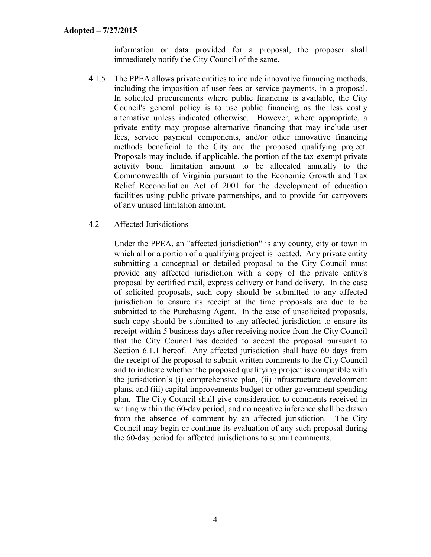information or data provided for a proposal, the proposer shall immediately notify the City Council of the same.

- 4.1.5 The PPEA allows private entities to include innovative financing methods, including the imposition of user fees or service payments, in a proposal. In solicited procurements where public financing is available, the City Council's general policy is to use public financing as the less costly alternative unless indicated otherwise. However, where appropriate, a private entity may propose alternative financing that may include user fees, service payment components, and/or other innovative financing methods beneficial to the City and the proposed qualifying project. Proposals may include, if applicable, the portion of the tax-exempt private activity bond limitation amount to be allocated annually to the Commonwealth of Virginia pursuant to the Economic Growth and Tax Relief Reconciliation Act of 2001 for the development of education facilities using public-private partnerships, and to provide for carryovers of any unused limitation amount.
- <span id="page-6-0"></span>4.2 Affected Jurisdictions

Under the PPEA, an "affected jurisdiction" is any county, city or town in which all or a portion of a qualifying project is located. Any private entity submitting a conceptual or detailed proposal to the City Council must provide any affected jurisdiction with a copy of the private entity's proposal by certified mail, express delivery or hand delivery. In the case of solicited proposals, such copy should be submitted to any affected jurisdiction to ensure its receipt at the time proposals are due to be submitted to the Purchasing Agent. In the case of unsolicited proposals, such copy should be submitted to any affected jurisdiction to ensure its receipt within 5 business days after receiving notice from the City Council that the City Council has decided to accept the proposal pursuant to Section 6.1.1 hereof. Any affected jurisdiction shall have 60 days from the receipt of the proposal to submit written comments to the City Council and to indicate whether the proposed qualifying project is compatible with the jurisdiction's (i) comprehensive plan, (ii) infrastructure development plans, and (iii) capital improvements budget or other government spending plan. The City Council shall give consideration to comments received in writing within the 60-day period, and no negative inference shall be drawn from the absence of comment by an affected jurisdiction. The City Council may begin or continue its evaluation of any such proposal during the 60-day period for affected jurisdictions to submit comments.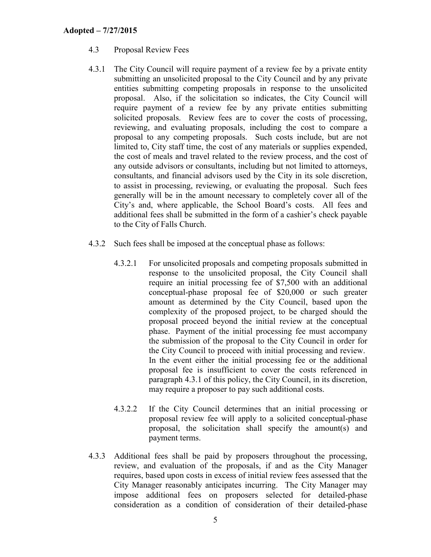- <span id="page-7-0"></span>4.3 Proposal Review Fees
- 4.3.1 The City Council will require payment of a review fee by a private entity submitting an unsolicited proposal to the City Council and by any private entities submitting competing proposals in response to the unsolicited proposal. Also, if the solicitation so indicates, the City Council will require payment of a review fee by any private entities submitting solicited proposals. Review fees are to cover the costs of processing, reviewing, and evaluating proposals, including the cost to compare a proposal to any competing proposals. Such costs include, but are not limited to, City staff time, the cost of any materials or supplies expended, the cost of meals and travel related to the review process, and the cost of any outside advisors or consultants, including but not limited to attorneys, consultants, and financial advisors used by the City in its sole discretion, to assist in processing, reviewing, or evaluating the proposal. Such fees generally will be in the amount necessary to completely cover all of the City's and, where applicable, the School Board's costs. All fees and additional fees shall be submitted in the form of a cashier's check payable to the City of Falls Church.
- 4.3.2 Such fees shall be imposed at the conceptual phase as follows:
	- 4.3.2.1 For unsolicited proposals and competing proposals submitted in response to the unsolicited proposal, the City Council shall require an initial processing fee of \$7,500 with an additional conceptual-phase proposal fee of \$20,000 or such greater amount as determined by the City Council, based upon the complexity of the proposed project, to be charged should the proposal proceed beyond the initial review at the conceptual phase. Payment of the initial processing fee must accompany the submission of the proposal to the City Council in order for the City Council to proceed with initial processing and review. In the event either the initial processing fee or the additional proposal fee is insufficient to cover the costs referenced in paragraph 4.3.1 of this policy, the City Council, in its discretion, may require a proposer to pay such additional costs.
	- 4.3.2.2 If the City Council determines that an initial processing or proposal review fee will apply to a solicited conceptual-phase proposal, the solicitation shall specify the amount(s) and payment terms.
- 4.3.3 Additional fees shall be paid by proposers throughout the processing, review, and evaluation of the proposals, if and as the City Manager requires, based upon costs in excess of initial review fees assessed that the City Manager reasonably anticipates incurring. The City Manager may impose additional fees on proposers selected for detailed-phase consideration as a condition of consideration of their detailed-phase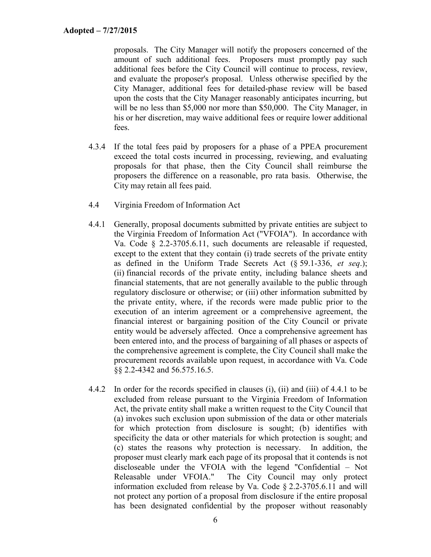proposals. The City Manager will notify the proposers concerned of the amount of such additional fees. Proposers must promptly pay such additional fees before the City Council will continue to process, review, and evaluate the proposer's proposal. Unless otherwise specified by the City Manager, additional fees for detailed-phase review will be based upon the costs that the City Manager reasonably anticipates incurring, but will be no less than \$5,000 nor more than \$50,000. The City Manager, in his or her discretion, may waive additional fees or require lower additional fees.

- 4.3.4 If the total fees paid by proposers for a phase of a PPEA procurement exceed the total costs incurred in processing, reviewing, and evaluating proposals for that phase, then the City Council shall reimburse the proposers the difference on a reasonable, pro rata basis. Otherwise, the City may retain all fees paid.
- <span id="page-8-0"></span>4.4 Virginia Freedom of Information Act
- 4.4.1 Generally, proposal documents submitted by private entities are subject to the Virginia Freedom of Information Act ("VFOIA"). In accordance with Va. Code § 2.2-3705.6.11, such documents are releasable if requested, except to the extent that they contain (i) trade secrets of the private entity as defined in the Uniform Trade Secrets Act (§ 59.1-336, *et seq*.); (ii) financial records of the private entity, including balance sheets and financial statements, that are not generally available to the public through regulatory disclosure or otherwise; or (iii) other information submitted by the private entity, where, if the records were made public prior to the execution of an interim agreement or a comprehensive agreement, the financial interest or bargaining position of the City Council or private entity would be adversely affected. Once a comprehensive agreement has been entered into, and the process of bargaining of all phases or aspects of the comprehensive agreement is complete, the City Council shall make the procurement records available upon request, in accordance with Va. Code §§ 2.2-4342 and 56.575.16.5.
- 4.4.2 In order for the records specified in clauses (i), (ii) and (iii) of 4.4.1 to be excluded from release pursuant to the Virginia Freedom of Information Act, the private entity shall make a written request to the City Council that (a) invokes such exclusion upon submission of the data or other materials for which protection from disclosure is sought; (b) identifies with specificity the data or other materials for which protection is sought; and (c) states the reasons why protection is necessary. In addition, the proposer must clearly mark each page of its proposal that it contends is not discloseable under the VFOIA with the legend "Confidential – Not Releasable under VFOIA." The City Council may only protect information excluded from release by Va. Code § 2.2-3705.6.11 and will not protect any portion of a proposal from disclosure if the entire proposal has been designated confidential by the proposer without reasonably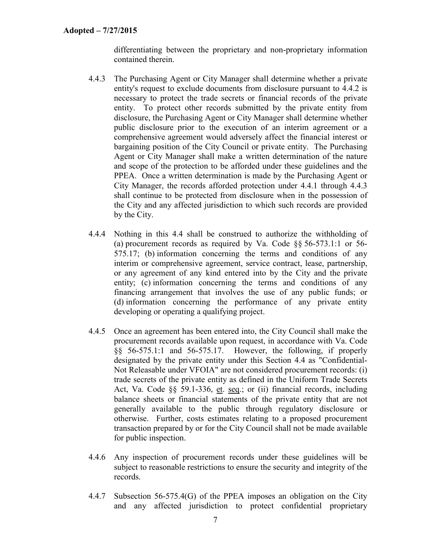differentiating between the proprietary and non-proprietary information contained therein.

- 4.4.3 The Purchasing Agent or City Manager shall determine whether a private entity's request to exclude documents from disclosure pursuant to 4.4.2 is necessary to protect the trade secrets or financial records of the private entity. To protect other records submitted by the private entity from disclosure, the Purchasing Agent or City Manager shall determine whether public disclosure prior to the execution of an interim agreement or a comprehensive agreement would adversely affect the financial interest or bargaining position of the City Council or private entity. The Purchasing Agent or City Manager shall make a written determination of the nature and scope of the protection to be afforded under these guidelines and the PPEA. Once a written determination is made by the Purchasing Agent or City Manager, the records afforded protection under 4.4.1 through 4.4.3 shall continue to be protected from disclosure when in the possession of the City and any affected jurisdiction to which such records are provided by the City.
- 4.4.4 Nothing in this 4.4 shall be construed to authorize the withholding of (a) procurement records as required by Va. Code §§ 56-573.1:1 or 56- 575.17; (b) information concerning the terms and conditions of any interim or comprehensive agreement, service contract, lease, partnership, or any agreement of any kind entered into by the City and the private entity; (c) information concerning the terms and conditions of any financing arrangement that involves the use of any public funds; or (d) information concerning the performance of any private entity developing or operating a qualifying project.
- 4.4.5 Once an agreement has been entered into, the City Council shall make the procurement records available upon request, in accordance with Va. Code §§ 56-575.1:1 and 56-575.17. However, the following, if properly designated by the private entity under this Section 4.4 as "Confidential-Not Releasable under VFOIA" are not considered procurement records: (i) trade secrets of the private entity as defined in the Uniform Trade Secrets Act, Va. Code §§ 59.1-336, et. seq.; or (ii) financial records, including balance sheets or financial statements of the private entity that are not generally available to the public through regulatory disclosure or otherwise. Further, costs estimates relating to a proposed procurement transaction prepared by or for the City Council shall not be made available for public inspection.
- 4.4.6 Any inspection of procurement records under these guidelines will be subject to reasonable restrictions to ensure the security and integrity of the records.
- 4.4.7 Subsection 56-575.4(G) of the PPEA imposes an obligation on the City and any affected jurisdiction to protect confidential proprietary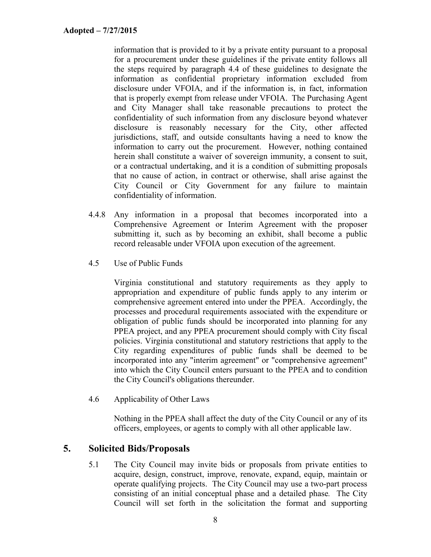information that is provided to it by a private entity pursuant to a proposal for a procurement under these guidelines if the private entity follows all the steps required by paragraph 4.4 of these guidelines to designate the information as confidential proprietary information excluded from disclosure under VFOIA, and if the information is, in fact, information that is properly exempt from release under VFOIA. The Purchasing Agent and City Manager shall take reasonable precautions to protect the confidentiality of such information from any disclosure beyond whatever disclosure is reasonably necessary for the City, other affected jurisdictions, staff, and outside consultants having a need to know the information to carry out the procurement. However, nothing contained herein shall constitute a waiver of sovereign immunity, a consent to suit, or a contractual undertaking, and it is a condition of submitting proposals that no cause of action, in contract or otherwise, shall arise against the City Council or City Government for any failure to maintain confidentiality of information.

- 4.4.8 Any information in a proposal that becomes incorporated into a Comprehensive Agreement or Interim Agreement with the proposer submitting it, such as by becoming an exhibit, shall become a public record releasable under VFOIA upon execution of the agreement.
- <span id="page-10-0"></span>4.5 Use of Public Funds

Virginia constitutional and statutory requirements as they apply to appropriation and expenditure of public funds apply to any interim or comprehensive agreement entered into under the PPEA. Accordingly, the processes and procedural requirements associated with the expenditure or obligation of public funds should be incorporated into planning for any PPEA project, and any PPEA procurement should comply with City fiscal policies. Virginia constitutional and statutory restrictions that apply to the City regarding expenditures of public funds shall be deemed to be incorporated into any "interim agreement" or "comprehensive agreement" into which the City Council enters pursuant to the PPEA and to condition the City Council's obligations thereunder.

<span id="page-10-1"></span>4.6 Applicability of Other Laws

Nothing in the PPEA shall affect the duty of the City Council or any of its officers, employees, or agents to comply with all other applicable law.

#### <span id="page-10-2"></span>**5. Solicited Bids/Proposals**

5.1 The City Council may invite bids or proposals from private entities to acquire, design, construct, improve, renovate, expand, equip, maintain or operate qualifying projects. The City Council may use a two-part process consisting of an initial conceptual phase and a detailed phase*.* The City Council will set forth in the solicitation the format and supporting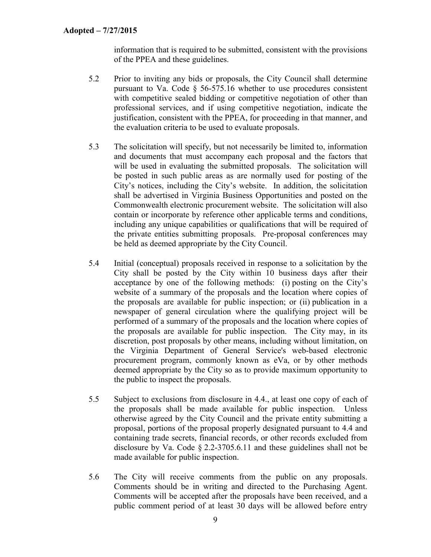information that is required to be submitted, consistent with the provisions of the PPEA and these guidelines.

- 5.2 Prior to inviting any bids or proposals, the City Council shall determine pursuant to Va. Code § 56-575.16 whether to use procedures consistent with competitive sealed bidding or competitive negotiation of other than professional services, and if using competitive negotiation, indicate the justification, consistent with the PPEA, for proceeding in that manner, and the evaluation criteria to be used to evaluate proposals.
- 5.3 The solicitation will specify, but not necessarily be limited to, information and documents that must accompany each proposal and the factors that will be used in evaluating the submitted proposals. The solicitation will be posted in such public areas as are normally used for posting of the City's notices, including the City's website. In addition, the solicitation shall be advertised in Virginia Business Opportunities and posted on the Commonwealth electronic procurement website. The solicitation will also contain or incorporate by reference other applicable terms and conditions, including any unique capabilities or qualifications that will be required of the private entities submitting proposals. Pre-proposal conferences may be held as deemed appropriate by the City Council.
- 5.4 Initial (conceptual) proposals received in response to a solicitation by the City shall be posted by the City within 10 business days after their acceptance by one of the following methods: (i) posting on the City's website of a summary of the proposals and the location where copies of the proposals are available for public inspection; or (ii) publication in a newspaper of general circulation where the qualifying project will be performed of a summary of the proposals and the location where copies of the proposals are available for public inspection. The City may, in its discretion, post proposals by other means, including without limitation, on the Virginia Department of General Service's web-based electronic procurement program, commonly known as eVa, or by other methods deemed appropriate by the City so as to provide maximum opportunity to the public to inspect the proposals.
- 5.5 Subject to exclusions from disclosure in 4.4., at least one copy of each of the proposals shall be made available for public inspection. Unless otherwise agreed by the City Council and the private entity submitting a proposal, portions of the proposal properly designated pursuant to 4.4 and containing trade secrets, financial records, or other records excluded from disclosure by Va. Code § 2.2-3705.6.11 and these guidelines shall not be made available for public inspection.
- 5.6 The City will receive comments from the public on any proposals. Comments should be in writing and directed to the Purchasing Agent. Comments will be accepted after the proposals have been received, and a public comment period of at least 30 days will be allowed before entry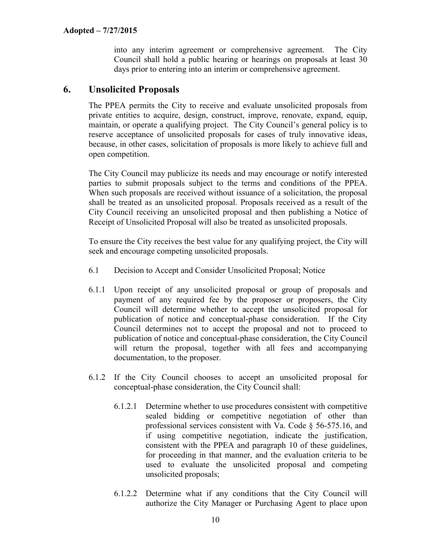into any interim agreement or comprehensive agreement. The City Council shall hold a public hearing or hearings on proposals at least 30 days prior to entering into an interim or comprehensive agreement.

### <span id="page-12-0"></span>**6. Unsolicited Proposals**

The PPEA permits the City to receive and evaluate unsolicited proposals from private entities to acquire, design, construct, improve, renovate, expand, equip, maintain, or operate a qualifying project. The City Council's general policy is to reserve acceptance of unsolicited proposals for cases of truly innovative ideas, because, in other cases, solicitation of proposals is more likely to achieve full and open competition.

The City Council may publicize its needs and may encourage or notify interested parties to submit proposals subject to the terms and conditions of the PPEA. When such proposals are received without issuance of a solicitation, the proposal shall be treated as an unsolicited proposal. Proposals received as a result of the City Council receiving an unsolicited proposal and then publishing a Notice of Receipt of Unsolicited Proposal will also be treated as unsolicited proposals.

To ensure the City receives the best value for any qualifying project, the City will seek and encourage competing unsolicited proposals.

- <span id="page-12-1"></span>6.1 Decision to Accept and Consider Unsolicited Proposal; Notice
- 6.1.1 Upon receipt of any unsolicited proposal or group of proposals and payment of any required fee by the proposer or proposers, the City Council will determine whether to accept the unsolicited proposal for publication of notice and conceptual-phase consideration. If the City Council determines not to accept the proposal and not to proceed to publication of notice and conceptual-phase consideration, the City Council will return the proposal, together with all fees and accompanying documentation, to the proposer.
- 6.1.2 If the City Council chooses to accept an unsolicited proposal for conceptual-phase consideration, the City Council shall:
	- 6.1.2.1 Determine whether to use procedures consistent with competitive sealed bidding or competitive negotiation of other than professional services consistent with Va. Code § 56-575.16, and if using competitive negotiation, indicate the justification, consistent with the PPEA and paragraph 10 of these guidelines, for proceeding in that manner, and the evaluation criteria to be used to evaluate the unsolicited proposal and competing unsolicited proposals;
	- 6.1.2.2 Determine what if any conditions that the City Council will authorize the City Manager or Purchasing Agent to place upon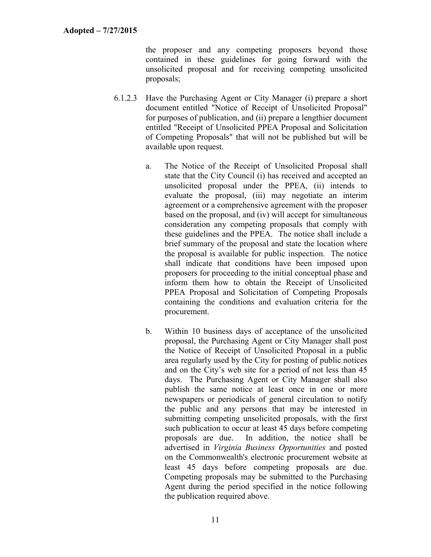the proposer and any competing proposers beyond those contained in these guidelines for going forward with the unsolicited proposal and for receiving competing unsolicited proposals;

- 6.1.2.3 Have the Purchasing Agent or City Manager (i) prepare a short document entitled "Notice of Receipt of Unsolicited Proposal" for purposes of publication, and (ii) prepare a lengthier document entitled "Receipt of Unsolicited PPEA Proposal and Solicitation of Competing Proposals" that will not be published but will be available upon request.
	- a. The Notice of the Receipt of Unsolicited Proposal shall state that the City Council (i) has received and accepted an unsolicited proposal under the PPEA, (ii) intends to evaluate the proposal, (iii) may negotiate an interim agreement or a comprehensive agreement with the proposer based on the proposal, and (iv) will accept for simultaneous consideration any competing proposals that comply with these guidelines and the PPEA. The notice shall include a brief summary of the proposal and state the location where the proposal is available for public inspection. The notice shall indicate that conditions have been imposed upon proposers for proceeding to the initial conceptual phase and inform them how to obtain the Receipt of Unsolicited PPEA Proposal and Solicitation of Competing Proposals containing the conditions and evaluation criteria for the procurement.
	- b. Within 10 business days of acceptance of the unsolicited proposal, the Purchasing Agent or City Manager shall post the Notice of Receipt of Unsolicited Proposal in a public area regularly used by the City for posting of public notices and on the City's web site for a period of not less than 45 days. The Purchasing Agent or City Manager shall also publish the same notice at least once in one or more newspapers or periodicals of general circulation to notify the public and any persons that may be interested in submitting competing unsolicited proposals, with the first such publication to occur at least 45 days before competing proposals are due. In addition, the notice shall be advertised in *Virginia Business Opportunities* and posted on the Commonwealth's electronic procurement website at least 45 days before competing proposals are due. Competing proposals may be submitted to the Purchasing Agent during the period specified in the notice following the publication required above.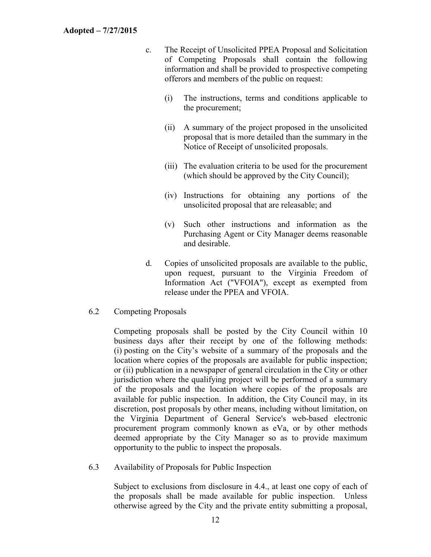- c. The Receipt of Unsolicited PPEA Proposal and Solicitation of Competing Proposals shall contain the following information and shall be provided to prospective competing offerors and members of the public on request:
	- (i) The instructions, terms and conditions applicable to the procurement;
	- (ii) A summary of the project proposed in the unsolicited proposal that is more detailed than the summary in the Notice of Receipt of unsolicited proposals.
	- (iii) The evaluation criteria to be used for the procurement (which should be approved by the City Council);
	- (iv) Instructions for obtaining any portions of the unsolicited proposal that are releasable; and
	- (v) Such other instructions and information as the Purchasing Agent or City Manager deems reasonable and desirable.
- d. Copies of unsolicited proposals are available to the public, upon request, pursuant to the Virginia Freedom of Information Act ("VFOIA"), except as exempted from release under the PPEA and VFOIA.
- <span id="page-14-0"></span>6.2 Competing Proposals

Competing proposals shall be posted by the City Council within 10 business days after their receipt by one of the following methods: (i) posting on the City's website of a summary of the proposals and the location where copies of the proposals are available for public inspection; or (ii) publication in a newspaper of general circulation in the City or other jurisdiction where the qualifying project will be performed of a summary of the proposals and the location where copies of the proposals are available for public inspection. In addition, the City Council may, in its discretion, post proposals by other means, including without limitation, on the Virginia Department of General Service's web-based electronic procurement program commonly known as eVa, or by other methods deemed appropriate by the City Manager so as to provide maximum opportunity to the public to inspect the proposals.

<span id="page-14-1"></span>6.3 Availability of Proposals for Public Inspection

Subject to exclusions from disclosure in 4.4., at least one copy of each of the proposals shall be made available for public inspection. Unless otherwise agreed by the City and the private entity submitting a proposal,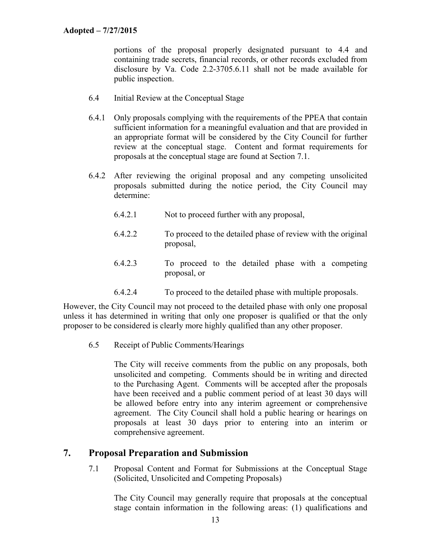portions of the proposal properly designated pursuant to 4.4 and containing trade secrets, financial records, or other records excluded from disclosure by Va. Code 2.2-3705.6.11 shall not be made available for public inspection.

- <span id="page-15-0"></span>6.4 Initial Review at the Conceptual Stage
- 6.4.1 Only proposals complying with the requirements of the PPEA that contain sufficient information for a meaningful evaluation and that are provided in an appropriate format will be considered by the City Council for further review at the conceptual stage. Content and format requirements for proposals at the conceptual stage are found at Section 7.1.
- 6.4.2 After reviewing the original proposal and any competing unsolicited proposals submitted during the notice period, the City Council may determine:
	- 6.4.2.1 Not to proceed further with any proposal,
	- 6.4.2.2 To proceed to the detailed phase of review with the original proposal,
	- 6.4.2.3 To proceed to the detailed phase with a competing proposal, or
	- 6.4.2.4 To proceed to the detailed phase with multiple proposals.

However, the City Council may not proceed to the detailed phase with only one proposal unless it has determined in writing that only one proposer is qualified or that the only proposer to be considered is clearly more highly qualified than any other proposer.

<span id="page-15-1"></span>6.5 Receipt of Public Comments/Hearings

The City will receive comments from the public on any proposals, both unsolicited and competing. Comments should be in writing and directed to the Purchasing Agent. Comments will be accepted after the proposals have been received and a public comment period of at least 30 days will be allowed before entry into any interim agreement or comprehensive agreement. The City Council shall hold a public hearing or hearings on proposals at least 30 days prior to entering into an interim or comprehensive agreement.

#### <span id="page-15-2"></span>**7. Proposal Preparation and Submission**

<span id="page-15-3"></span>7.1 Proposal Content and Format for Submissions at the Conceptual Stage (Solicited, Unsolicited and Competing Proposals)

The City Council may generally require that proposals at the conceptual stage contain information in the following areas: (1) qualifications and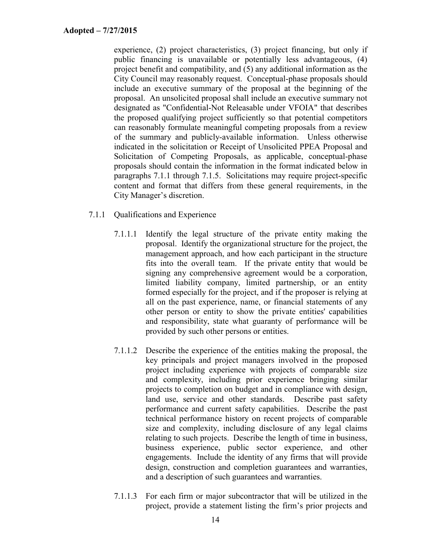experience, (2) project characteristics, (3) project financing, but only if public financing is unavailable or potentially less advantageous, (4) project benefit and compatibility, and (5) any additional information as the City Council may reasonably request. Conceptual-phase proposals should include an executive summary of the proposal at the beginning of the proposal. An unsolicited proposal shall include an executive summary not designated as "Confidential-Not Releasable under VFOIA" that describes the proposed qualifying project sufficiently so that potential competitors can reasonably formulate meaningful competing proposals from a review of the summary and publicly-available information. Unless otherwise indicated in the solicitation or Receipt of Unsolicited PPEA Proposal and Solicitation of Competing Proposals, as applicable, conceptual-phase proposals should contain the information in the format indicated below in paragraphs 7.1.1 through 7.1.5. Solicitations may require project-specific content and format that differs from these general requirements, in the City Manager's discretion.

- 7.1.1 Qualifications and Experience
	- 7.1.1.1 Identify the legal structure of the private entity making the proposal. Identify the organizational structure for the project, the management approach, and how each participant in the structure fits into the overall team. If the private entity that would be signing any comprehensive agreement would be a corporation, limited liability company, limited partnership, or an entity formed especially for the project, and if the proposer is relying at all on the past experience, name, or financial statements of any other person or entity to show the private entities' capabilities and responsibility, state what guaranty of performance will be provided by such other persons or entities.
	- 7.1.1.2 Describe the experience of the entities making the proposal, the key principals and project managers involved in the proposed project including experience with projects of comparable size and complexity, including prior experience bringing similar projects to completion on budget and in compliance with design, land use, service and other standards. Describe past safety performance and current safety capabilities. Describe the past technical performance history on recent projects of comparable size and complexity, including disclosure of any legal claims relating to such projects. Describe the length of time in business, business experience, public sector experience, and other engagements. Include the identity of any firms that will provide design, construction and completion guarantees and warranties, and a description of such guarantees and warranties.
	- 7.1.1.3 For each firm or major subcontractor that will be utilized in the project, provide a statement listing the firm's prior projects and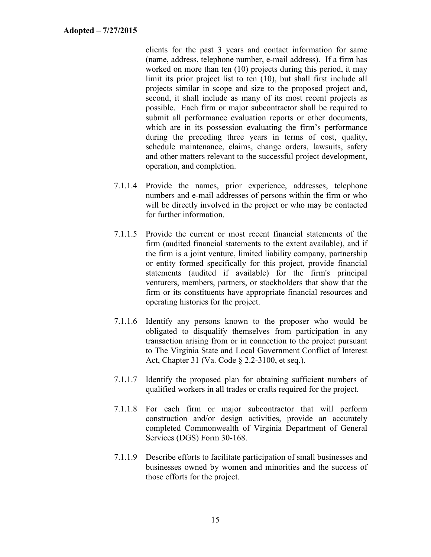clients for the past 3 years and contact information for same (name, address, telephone number, e-mail address). If a firm has worked on more than ten (10) projects during this period, it may limit its prior project list to ten (10), but shall first include all projects similar in scope and size to the proposed project and, second, it shall include as many of its most recent projects as possible. Each firm or major subcontractor shall be required to submit all performance evaluation reports or other documents, which are in its possession evaluating the firm's performance during the preceding three years in terms of cost, quality, schedule maintenance, claims, change orders, lawsuits, safety and other matters relevant to the successful project development, operation, and completion.

- 7.1.1.4 Provide the names, prior experience, addresses, telephone numbers and e-mail addresses of persons within the firm or who will be directly involved in the project or who may be contacted for further information.
- 7.1.1.5 Provide the current or most recent financial statements of the firm (audited financial statements to the extent available), and if the firm is a joint venture, limited liability company, partnership or entity formed specifically for this project, provide financial statements (audited if available) for the firm's principal venturers, members, partners, or stockholders that show that the firm or its constituents have appropriate financial resources and operating histories for the project.
- 7.1.1.6 Identify any persons known to the proposer who would be obligated to disqualify themselves from participation in any transaction arising from or in connection to the project pursuant to The Virginia State and Local Government Conflict of Interest Act, Chapter 31 (Va. Code § 2.2-3100, et seq.).
- 7.1.1.7 Identify the proposed plan for obtaining sufficient numbers of qualified workers in all trades or crafts required for the project.
- 7.1.1.8 For each firm or major subcontractor that will perform construction and/or design activities, provide an accurately completed Commonwealth of Virginia Department of General Services (DGS) Form 30-168.
- 7.1.1.9 Describe efforts to facilitate participation of small businesses and businesses owned by women and minorities and the success of those efforts for the project.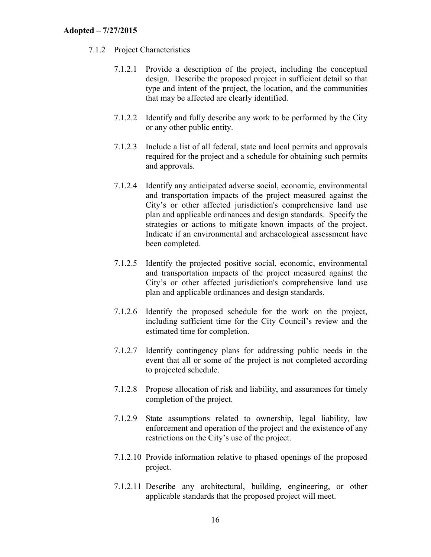#### 7.1.2 Project Characteristics

- 7.1.2.1 Provide a description of the project, including the conceptual design. Describe the proposed project in sufficient detail so that type and intent of the project, the location, and the communities that may be affected are clearly identified.
- 7.1.2.2 Identify and fully describe any work to be performed by the City or any other public entity.
- 7.1.2.3 Include a list of all federal, state and local permits and approvals required for the project and a schedule for obtaining such permits and approvals.
- 7.1.2.4 Identify any anticipated adverse social, economic, environmental and transportation impacts of the project measured against the City's or other affected jurisdiction's comprehensive land use plan and applicable ordinances and design standards. Specify the strategies or actions to mitigate known impacts of the project. Indicate if an environmental and archaeological assessment have been completed.
- 7.1.2.5 Identify the projected positive social, economic, environmental and transportation impacts of the project measured against the City's or other affected jurisdiction's comprehensive land use plan and applicable ordinances and design standards.
- 7.1.2.6 Identify the proposed schedule for the work on the project, including sufficient time for the City Council's review and the estimated time for completion.
- 7.1.2.7 Identify contingency plans for addressing public needs in the event that all or some of the project is not completed according to projected schedule.
- 7.1.2.8 Propose allocation of risk and liability, and assurances for timely completion of the project.
- 7.1.2.9 State assumptions related to ownership, legal liability, law enforcement and operation of the project and the existence of any restrictions on the City's use of the project.
- 7.1.2.10 Provide information relative to phased openings of the proposed project.
- 7.1.2.11 Describe any architectural, building, engineering, or other applicable standards that the proposed project will meet.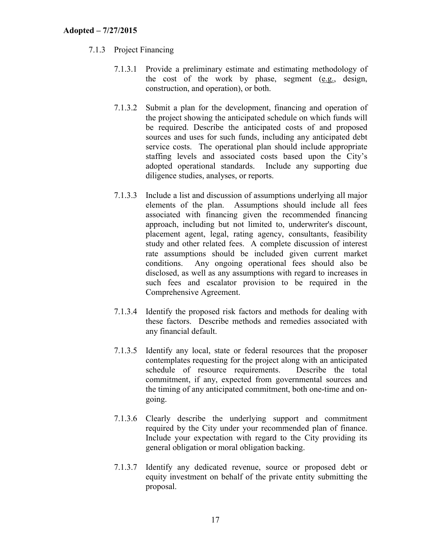#### 7.1.3 Project Financing

- 7.1.3.1 Provide a preliminary estimate and estimating methodology of the cost of the work by phase, segment (e.g., design, construction, and operation), or both.
- 7.1.3.2 Submit a plan for the development, financing and operation of the project showing the anticipated schedule on which funds will be required. Describe the anticipated costs of and proposed sources and uses for such funds, including any anticipated debt service costs. The operational plan should include appropriate staffing levels and associated costs based upon the City's adopted operational standards. Include any supporting due diligence studies, analyses, or reports.
- 7.1.3.3 Include a list and discussion of assumptions underlying all major elements of the plan. Assumptions should include all fees associated with financing given the recommended financing approach, including but not limited to, underwriter's discount, placement agent, legal, rating agency, consultants, feasibility study and other related fees. A complete discussion of interest rate assumptions should be included given current market conditions. Any ongoing operational fees should also be disclosed, as well as any assumptions with regard to increases in such fees and escalator provision to be required in the Comprehensive Agreement.
- 7.1.3.4 Identify the proposed risk factors and methods for dealing with these factors. Describe methods and remedies associated with any financial default.
- 7.1.3.5 Identify any local, state or federal resources that the proposer contemplates requesting for the project along with an anticipated schedule of resource requirements. Describe the total commitment, if any, expected from governmental sources and the timing of any anticipated commitment, both one-time and ongoing.
- 7.1.3.6 Clearly describe the underlying support and commitment required by the City under your recommended plan of finance. Include your expectation with regard to the City providing its general obligation or moral obligation backing.
- 7.1.3.7 Identify any dedicated revenue, source or proposed debt or equity investment on behalf of the private entity submitting the proposal.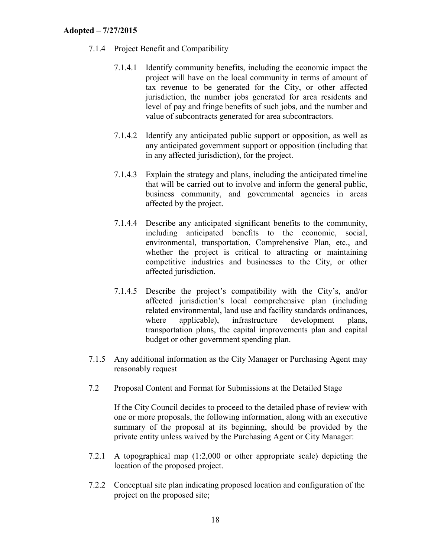- 7.1.4 Project Benefit and Compatibility
	- 7.1.4.1 Identify community benefits, including the economic impact the project will have on the local community in terms of amount of tax revenue to be generated for the City, or other affected jurisdiction, the number jobs generated for area residents and level of pay and fringe benefits of such jobs, and the number and value of subcontracts generated for area subcontractors.
	- 7.1.4.2 Identify any anticipated public support or opposition, as well as any anticipated government support or opposition (including that in any affected jurisdiction), for the project.
	- 7.1.4.3 Explain the strategy and plans, including the anticipated timeline that will be carried out to involve and inform the general public, business community, and governmental agencies in areas affected by the project.
	- 7.1.4.4 Describe any anticipated significant benefits to the community, including anticipated benefits to the economic, social, environmental, transportation, Comprehensive Plan, etc., and whether the project is critical to attracting or maintaining competitive industries and businesses to the City, or other affected jurisdiction.
	- 7.1.4.5 Describe the project's compatibility with the City's, and/or affected jurisdiction's local comprehensive plan (including related environmental, land use and facility standards ordinances, where applicable), infrastructure development plans, transportation plans, the capital improvements plan and capital budget or other government spending plan.
- 7.1.5 Any additional information as the City Manager or Purchasing Agent may reasonably request
- <span id="page-20-0"></span>7.2 Proposal Content and Format for Submissions at the Detailed Stage

If the City Council decides to proceed to the detailed phase of review with one or more proposals, the following information, along with an executive summary of the proposal at its beginning, should be provided by the private entity unless waived by the Purchasing Agent or City Manager:

- 7.2.1 A topographical map (1:2,000 or other appropriate scale) depicting the location of the proposed project.
- 7.2.2 Conceptual site plan indicating proposed location and configuration of the project on the proposed site;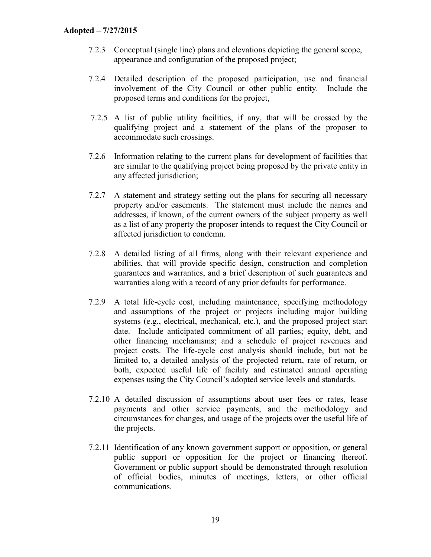- 7.2.3 Conceptual (single line) plans and elevations depicting the general scope, appearance and configuration of the proposed project;
- 7.2.4 Detailed description of the proposed participation, use and financial involvement of the City Council or other public entity. Include the proposed terms and conditions for the project,
- 7.2.5 A list of public utility facilities, if any, that will be crossed by the qualifying project and a statement of the plans of the proposer to accommodate such crossings.
- 7.2.6 Information relating to the current plans for development of facilities that are similar to the qualifying project being proposed by the private entity in any affected jurisdiction;
- 7.2.7 A statement and strategy setting out the plans for securing all necessary property and/or easements. The statement must include the names and addresses, if known, of the current owners of the subject property as well as a list of any property the proposer intends to request the City Council or affected jurisdiction to condemn.
- 7.2.8 A detailed listing of all firms, along with their relevant experience and abilities, that will provide specific design, construction and completion guarantees and warranties, and a brief description of such guarantees and warranties along with a record of any prior defaults for performance.
- 7.2.9 A total life-cycle cost, including maintenance, specifying methodology and assumptions of the project or projects including major building systems (e.g., electrical, mechanical, etc.), and the proposed project start date. Include anticipated commitment of all parties; equity, debt, and other financing mechanisms; and a schedule of project revenues and project costs. The life-cycle cost analysis should include, but not be limited to, a detailed analysis of the projected return, rate of return, or both, expected useful life of facility and estimated annual operating expenses using the City Council's adopted service levels and standards.
- 7.2.10 A detailed discussion of assumptions about user fees or rates, lease payments and other service payments, and the methodology and circumstances for changes, and usage of the projects over the useful life of the projects.
- 7.2.11 Identification of any known government support or opposition, or general public support or opposition for the project or financing thereof. Government or public support should be demonstrated through resolution of official bodies, minutes of meetings, letters, or other official communications.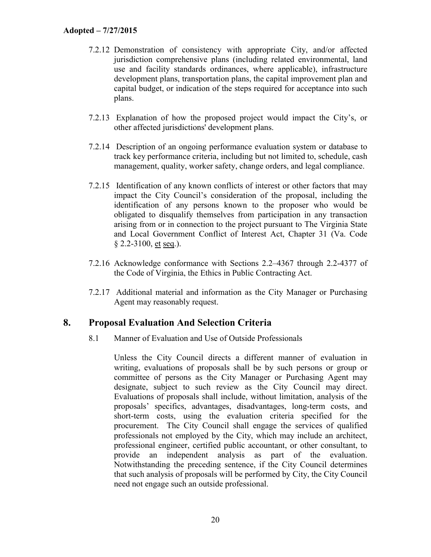- 7.2.12 Demonstration of consistency with appropriate City, and/or affected jurisdiction comprehensive plans (including related environmental, land use and facility standards ordinances, where applicable), infrastructure development plans, transportation plans, the capital improvement plan and capital budget, or indication of the steps required for acceptance into such plans.
- 7.2.13 Explanation of how the proposed project would impact the City's, or other affected jurisdictions' development plans.
- 7.2.14 Description of an ongoing performance evaluation system or database to track key performance criteria, including but not limited to, schedule, cash management, quality, worker safety, change orders, and legal compliance.
- 7.2.15 Identification of any known conflicts of interest or other factors that may impact the City Council's consideration of the proposal, including the identification of any persons known to the proposer who would be obligated to disqualify themselves from participation in any transaction arising from or in connection to the project pursuant to The Virginia State and Local Government Conflict of Interest Act, Chapter 31 (Va. Code § 2.2-3100, et seq.).
- 7.2.16 Acknowledge conformance with Sections 2.2–4367 through 2.2-4377 of the Code of Virginia, the Ethics in Public Contracting Act.
- 7.2.17 Additional material and information as the City Manager or Purchasing Agent may reasonably request.

## <span id="page-22-0"></span>**8. Proposal Evaluation And Selection Criteria**

<span id="page-22-1"></span>8.1 Manner of Evaluation and Use of Outside Professionals

Unless the City Council directs a different manner of evaluation in writing, evaluations of proposals shall be by such persons or group or committee of persons as the City Manager or Purchasing Agent may designate, subject to such review as the City Council may direct. Evaluations of proposals shall include, without limitation, analysis of the proposals' specifics, advantages, disadvantages, long-term costs, and short-term costs, using the evaluation criteria specified for the procurement. The City Council shall engage the services of qualified professionals not employed by the City, which may include an architect, professional engineer, certified public accountant, or other consultant, to provide an independent analysis as part of the evaluation. Notwithstanding the preceding sentence, if the City Council determines that such analysis of proposals will be performed by City, the City Council need not engage such an outside professional.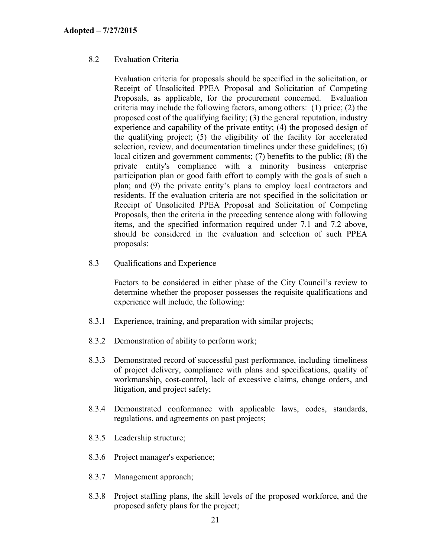#### <span id="page-23-0"></span>8.2 Evaluation Criteria

Evaluation criteria for proposals should be specified in the solicitation, or Receipt of Unsolicited PPEA Proposal and Solicitation of Competing Proposals, as applicable, for the procurement concerned. Evaluation criteria may include the following factors, among others: (1) price; (2) the proposed cost of the qualifying facility; (3) the general reputation, industry experience and capability of the private entity; (4) the proposed design of the qualifying project; (5) the eligibility of the facility for accelerated selection, review, and documentation timelines under these guidelines; (6) local citizen and government comments; (7) benefits to the public; (8) the private entity's compliance with a minority business enterprise participation plan or good faith effort to comply with the goals of such a plan; and (9) the private entity's plans to employ local contractors and residents. If the evaluation criteria are not specified in the solicitation or Receipt of Unsolicited PPEA Proposal and Solicitation of Competing Proposals, then the criteria in the preceding sentence along with following items, and the specified information required under 7.1 and 7.2 above, should be considered in the evaluation and selection of such PPEA proposals:

<span id="page-23-1"></span>8.3 Qualifications and Experience

Factors to be considered in either phase of the City Council's review to determine whether the proposer possesses the requisite qualifications and experience will include, the following:

- 8.3.1 Experience, training, and preparation with similar projects;
- 8.3.2 Demonstration of ability to perform work;
- 8.3.3 Demonstrated record of successful past performance, including timeliness of project delivery, compliance with plans and specifications, quality of workmanship, cost-control, lack of excessive claims, change orders, and litigation, and project safety;
- 8.3.4 Demonstrated conformance with applicable laws, codes, standards, regulations, and agreements on past projects;
- 8.3.5 Leadership structure;
- 8.3.6 Project manager's experience;
- 8.3.7 Management approach;
- 8.3.8 Project staffing plans, the skill levels of the proposed workforce, and the proposed safety plans for the project;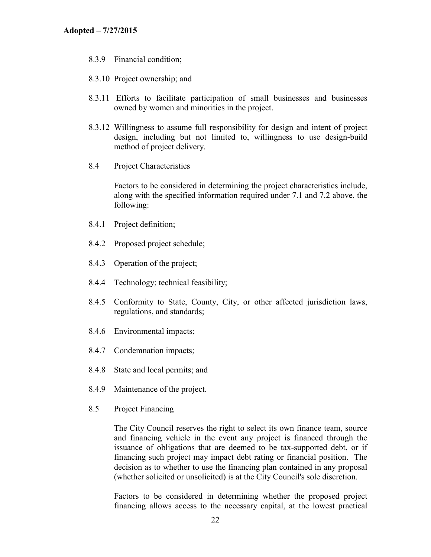- 8.3.9 Financial condition;
- 8.3.10 Project ownership; and
- 8.3.11 Efforts to facilitate participation of small businesses and businesses owned by women and minorities in the project.
- 8.3.12 Willingness to assume full responsibility for design and intent of project design, including but not limited to, willingness to use design-build method of project delivery.
- <span id="page-24-0"></span>8.4 Project Characteristics

Factors to be considered in determining the project characteristics include, along with the specified information required under 7.1 and 7.2 above, the following:

- 8.4.1 Project definition;
- 8.4.2 Proposed project schedule;
- 8.4.3 Operation of the project;
- 8.4.4 Technology; technical feasibility;
- 8.4.5 Conformity to State, County, City, or other affected jurisdiction laws, regulations, and standards;
- 8.4.6 Environmental impacts;
- 8.4.7 Condemnation impacts;
- 8.4.8 State and local permits; and
- 8.4.9 Maintenance of the project.
- <span id="page-24-1"></span>8.5 Project Financing

The City Council reserves the right to select its own finance team, source and financing vehicle in the event any project is financed through the issuance of obligations that are deemed to be tax-supported debt, or if financing such project may impact debt rating or financial position. The decision as to whether to use the financing plan contained in any proposal (whether solicited or unsolicited) is at the City Council's sole discretion.

Factors to be considered in determining whether the proposed project financing allows access to the necessary capital, at the lowest practical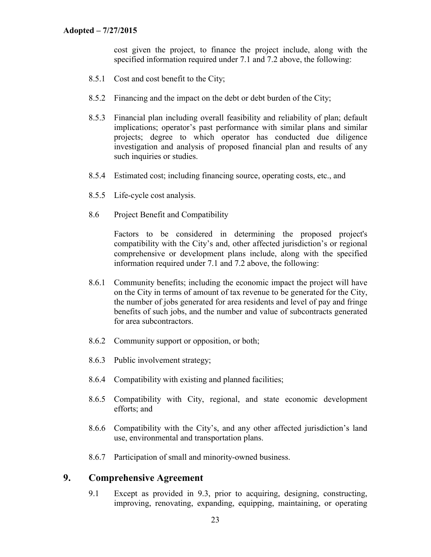cost given the project, to finance the project include, along with the specified information required under 7.1 and 7.2 above, the following:

- 8.5.1 Cost and cost benefit to the City;
- 8.5.2 Financing and the impact on the debt or debt burden of the City;
- 8.5.3 Financial plan including overall feasibility and reliability of plan; default implications; operator's past performance with similar plans and similar projects; degree to which operator has conducted due diligence investigation and analysis of proposed financial plan and results of any such inquiries or studies.
- 8.5.4 Estimated cost; including financing source, operating costs, etc., and
- 8.5.5 Life-cycle cost analysis.
- <span id="page-25-0"></span>8.6 Project Benefit and Compatibility

Factors to be considered in determining the proposed project's compatibility with the City's and, other affected jurisdiction's or regional comprehensive or development plans include, along with the specified information required under 7.1 and 7.2 above, the following:

- 8.6.1 Community benefits; including the economic impact the project will have on the City in terms of amount of tax revenue to be generated for the City, the number of jobs generated for area residents and level of pay and fringe benefits of such jobs, and the number and value of subcontracts generated for area subcontractors.
- 8.6.2 Community support or opposition, or both;
- 8.6.3 Public involvement strategy;
- 8.6.4 Compatibility with existing and planned facilities;
- 8.6.5 Compatibility with City, regional, and state economic development efforts; and
- 8.6.6 Compatibility with the City's, and any other affected jurisdiction's land use, environmental and transportation plans.
- 8.6.7 Participation of small and minority-owned business.

#### <span id="page-25-1"></span>**9. Comprehensive Agreement**

9.1 Except as provided in 9.3, prior to acquiring, designing, constructing, improving, renovating, expanding, equipping, maintaining, or operating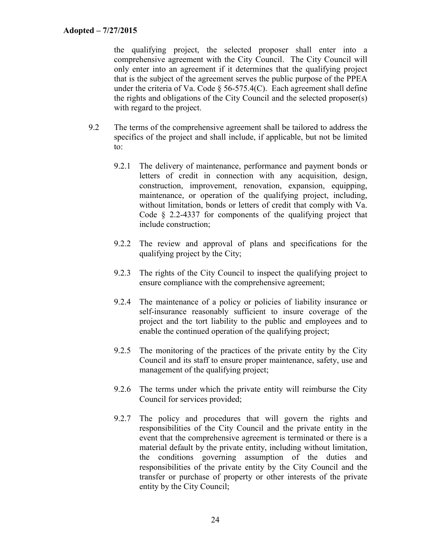the qualifying project, the selected proposer shall enter into a comprehensive agreement with the City Council. The City Council will only enter into an agreement if it determines that the qualifying project that is the subject of the agreement serves the public purpose of the PPEA under the criteria of Va. Code  $\S$  56-575.4(C). Each agreement shall define the rights and obligations of the City Council and the selected proposer(s) with regard to the project.

- 9.2 The terms of the comprehensive agreement shall be tailored to address the specifics of the project and shall include, if applicable, but not be limited to:
	- 9.2.1 The delivery of maintenance, performance and payment bonds or letters of credit in connection with any acquisition, design, construction, improvement, renovation, expansion, equipping, maintenance, or operation of the qualifying project, including, without limitation, bonds or letters of credit that comply with Va. Code § 2.2-4337 for components of the qualifying project that include construction;
	- 9.2.2 The review and approval of plans and specifications for the qualifying project by the City;
	- 9.2.3 The rights of the City Council to inspect the qualifying project to ensure compliance with the comprehensive agreement;
	- 9.2.4 The maintenance of a policy or policies of liability insurance or self-insurance reasonably sufficient to insure coverage of the project and the tort liability to the public and employees and to enable the continued operation of the qualifying project;
	- 9.2.5 The monitoring of the practices of the private entity by the City Council and its staff to ensure proper maintenance, safety, use and management of the qualifying project;
	- 9.2.6 The terms under which the private entity will reimburse the City Council for services provided;
	- 9.2.7 The policy and procedures that will govern the rights and responsibilities of the City Council and the private entity in the event that the comprehensive agreement is terminated or there is a material default by the private entity, including without limitation, the conditions governing assumption of the duties and responsibilities of the private entity by the City Council and the transfer or purchase of property or other interests of the private entity by the City Council;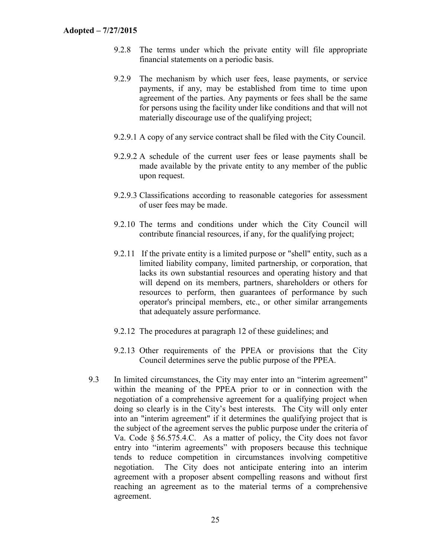- 9.2.8 The terms under which the private entity will file appropriate financial statements on a periodic basis.
- 9.2.9 The mechanism by which user fees, lease payments, or service payments, if any, may be established from time to time upon agreement of the parties. Any payments or fees shall be the same for persons using the facility under like conditions and that will not materially discourage use of the qualifying project;
- 9.2.9.1 A copy of any service contract shall be filed with the City Council.
- 9.2.9.2 A schedule of the current user fees or lease payments shall be made available by the private entity to any member of the public upon request.
- 9.2.9.3 Classifications according to reasonable categories for assessment of user fees may be made.
- 9.2.10 The terms and conditions under which the City Council will contribute financial resources, if any, for the qualifying project;
- 9.2.11 If the private entity is a limited purpose or "shell" entity, such as a limited liability company, limited partnership, or corporation, that lacks its own substantial resources and operating history and that will depend on its members, partners, shareholders or others for resources to perform, then guarantees of performance by such operator's principal members, etc., or other similar arrangements that adequately assure performance.
- 9.2.12 The procedures at paragraph 12 of these guidelines; and
- 9.2.13 Other requirements of the PPEA or provisions that the City Council determines serve the public purpose of the PPEA.
- 9.3 In limited circumstances, the City may enter into an "interim agreement" within the meaning of the PPEA prior to or in connection with the negotiation of a comprehensive agreement for a qualifying project when doing so clearly is in the City's best interests. The City will only enter into an "interim agreement" if it determines the qualifying project that is the subject of the agreement serves the public purpose under the criteria of Va. Code § 56.575.4.C. As a matter of policy, the City does not favor entry into "interim agreements" with proposers because this technique tends to reduce competition in circumstances involving competitive negotiation. The City does not anticipate entering into an interim agreement with a proposer absent compelling reasons and without first reaching an agreement as to the material terms of a comprehensive agreement.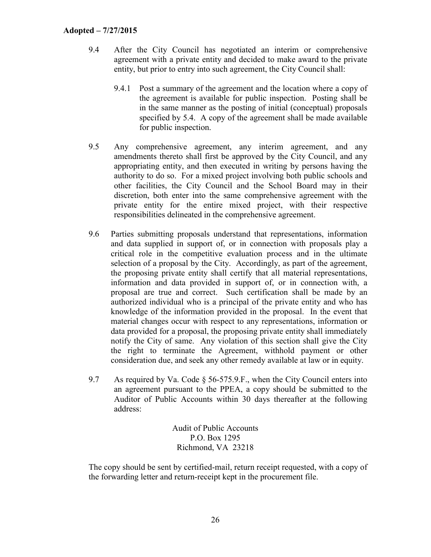- 9.4 After the City Council has negotiated an interim or comprehensive agreement with a private entity and decided to make award to the private entity, but prior to entry into such agreement, the City Council shall:
	- 9.4.1 Post a summary of the agreement and the location where a copy of the agreement is available for public inspection. Posting shall be in the same manner as the posting of initial (conceptual) proposals specified by 5.4. A copy of the agreement shall be made available for public inspection.
- 9.5 Any comprehensive agreement, any interim agreement, and any amendments thereto shall first be approved by the City Council, and any appropriating entity, and then executed in writing by persons having the authority to do so. For a mixed project involving both public schools and other facilities, the City Council and the School Board may in their discretion, both enter into the same comprehensive agreement with the private entity for the entire mixed project, with their respective responsibilities delineated in the comprehensive agreement.
- 9.6 Parties submitting proposals understand that representations, information and data supplied in support of, or in connection with proposals play a critical role in the competitive evaluation process and in the ultimate selection of a proposal by the City. Accordingly, as part of the agreement, the proposing private entity shall certify that all material representations, information and data provided in support of, or in connection with, a proposal are true and correct. Such certification shall be made by an authorized individual who is a principal of the private entity and who has knowledge of the information provided in the proposal. In the event that material changes occur with respect to any representations, information or data provided for a proposal, the proposing private entity shall immediately notify the City of same. Any violation of this section shall give the City the right to terminate the Agreement, withhold payment or other consideration due, and seek any other remedy available at law or in equity.
- 9.7 As required by Va. Code § 56-575.9.F., when the City Council enters into an agreement pursuant to the PPEA, a copy should be submitted to the Auditor of Public Accounts within 30 days thereafter at the following address:

Audit of Public Accounts P.O. Box 1295 Richmond, VA 23218

The copy should be sent by certified-mail, return receipt requested, with a copy of the forwarding letter and return-receipt kept in the procurement file.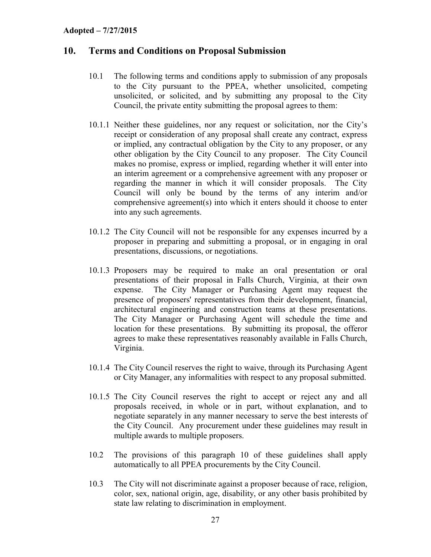#### <span id="page-29-0"></span>**10. Terms and Conditions on Proposal Submission**

- 10.1 The following terms and conditions apply to submission of any proposals to the City pursuant to the PPEA, whether unsolicited, competing unsolicited, or solicited, and by submitting any proposal to the City Council, the private entity submitting the proposal agrees to them:
- 10.1.1 Neither these guidelines, nor any request or solicitation, nor the City's receipt or consideration of any proposal shall create any contract, express or implied, any contractual obligation by the City to any proposer, or any other obligation by the City Council to any proposer. The City Council makes no promise, express or implied, regarding whether it will enter into an interim agreement or a comprehensive agreement with any proposer or regarding the manner in which it will consider proposals. The City Council will only be bound by the terms of any interim and/or comprehensive agreement(s) into which it enters should it choose to enter into any such agreements.
- 10.1.2 The City Council will not be responsible for any expenses incurred by a proposer in preparing and submitting a proposal, or in engaging in oral presentations, discussions, or negotiations.
- 10.1.3 Proposers may be required to make an oral presentation or oral presentations of their proposal in Falls Church, Virginia, at their own expense. The City Manager or Purchasing Agent may request the presence of proposers' representatives from their development, financial, architectural engineering and construction teams at these presentations. The City Manager or Purchasing Agent will schedule the time and location for these presentations. By submitting its proposal, the offeror agrees to make these representatives reasonably available in Falls Church, Virginia.
- 10.1.4 The City Council reserves the right to waive, through its Purchasing Agent or City Manager, any informalities with respect to any proposal submitted.
- 10.1.5 The City Council reserves the right to accept or reject any and all proposals received, in whole or in part, without explanation, and to negotiate separately in any manner necessary to serve the best interests of the City Council. Any procurement under these guidelines may result in multiple awards to multiple proposers.
- 10.2 The provisions of this paragraph 10 of these guidelines shall apply automatically to all PPEA procurements by the City Council.
- 10.3 The City will not discriminate against a proposer because of race, religion, color, sex, national origin, age, disability, or any other basis prohibited by state law relating to discrimination in employment.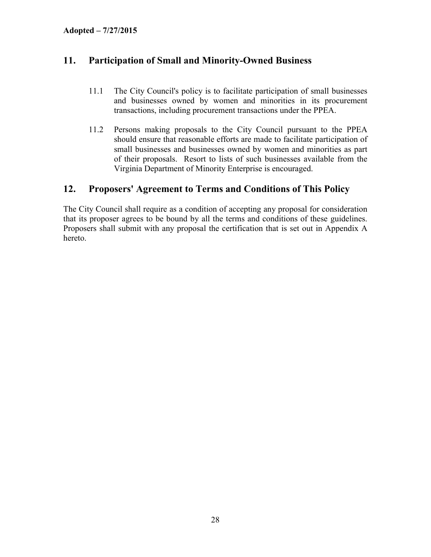# <span id="page-30-0"></span>**11. Participation of Small and Minority-Owned Business**

- 11.1 The City Council's policy is to facilitate participation of small businesses and businesses owned by women and minorities in its procurement transactions, including procurement transactions under the PPEA.
- 11.2 Persons making proposals to the City Council pursuant to the PPEA should ensure that reasonable efforts are made to facilitate participation of small businesses and businesses owned by women and minorities as part of their proposals. Resort to lists of such businesses available from the Virginia Department of Minority Enterprise is encouraged.

# <span id="page-30-1"></span>**12. Proposers' Agreement to Terms and Conditions of This Policy**

The City Council shall require as a condition of accepting any proposal for consideration that its proposer agrees to be bound by all the terms and conditions of these guidelines. Proposers shall submit with any proposal the certification that is set out in Appendix A hereto.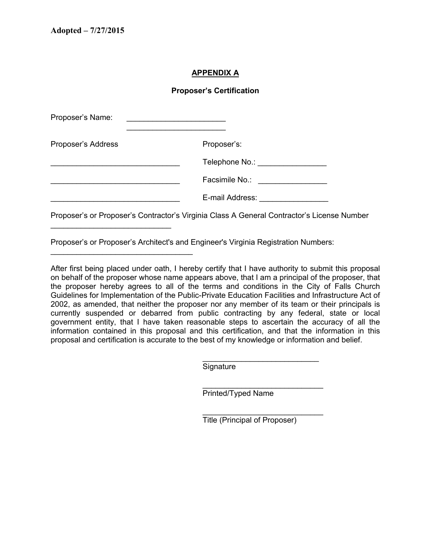\_\_\_\_\_\_\_\_\_\_\_\_\_\_\_\_\_\_\_\_\_\_\_\_\_\_\_\_

\_\_\_\_\_\_\_\_\_\_\_\_\_\_\_\_\_\_\_\_\_\_\_\_\_\_\_\_\_\_\_\_\_

#### **APPENDIX A**

#### **Proposer's Certification**

| Proposer's Name:   | <u> 1980 - Johann Johann Stein, marwolaeth a bhaile an t-Amhain Aonaichte ann an t-Amhain Aonaichte ann an t-Amhain Aonaichte ann an t-Amhain Aonaichte ann an t-Amhain Aonaichte ann an t-Amhain Aonaichte ann an t-Amhain Aona</u> |
|--------------------|--------------------------------------------------------------------------------------------------------------------------------------------------------------------------------------------------------------------------------------|
| Proposer's Address | Proposer's:                                                                                                                                                                                                                          |
|                    | Telephone No.: _________________                                                                                                                                                                                                     |
|                    | Facsimile No.: ___________________                                                                                                                                                                                                   |
|                    | E-mail Address: National Address:                                                                                                                                                                                                    |
|                    | Proposer's or Proposer's Contractor's Virginia Class A General Contractor's License Number                                                                                                                                           |

Proposer's or Proposer's Architect's and Engineer's Virginia Registration Numbers:

After first being placed under oath, I hereby certify that I have authority to submit this proposal on behalf of the proposer whose name appears above, that I am a principal of the proposer, that the proposer hereby agrees to all of the terms and conditions in the City of Falls Church Guidelines for Implementation of the Public-Private Education Facilities and Infrastructure Act of 2002, as amended, that neither the proposer nor any member of its team or their principals is currently suspended or debarred from public contracting by any federal, state or local government entity, that I have taken reasonable steps to ascertain the accuracy of all the information contained in this proposal and this certification, and that the information in this proposal and certification is accurate to the best of my knowledge or information and belief.

**Signature** 

Printed/Typed Name

Title (Principal of Proposer)

\_\_\_\_\_\_\_\_\_\_\_\_\_\_\_\_\_\_\_\_\_\_\_\_\_\_\_

\_\_\_\_\_\_\_\_\_\_\_\_\_\_\_\_\_\_\_\_\_\_\_\_\_\_\_\_

\_\_\_\_\_\_\_\_\_\_\_\_\_\_\_\_\_\_\_\_\_\_\_\_\_\_\_\_